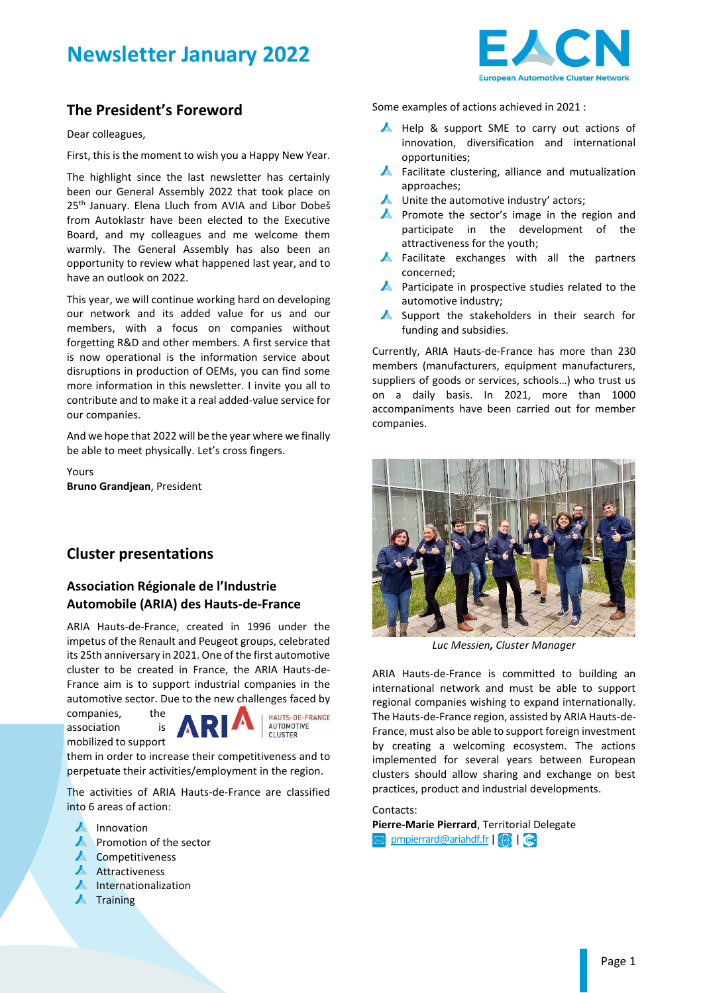# **Newsletter January 2022**



## **The President's Foreword**

Dear colleagues,

First, this is the moment to wish you a Happy New Year.

The highlight since the last newsletter has certainly been our General Assembly 2022 that took place on 25<sup>th</sup> January. Elena Lluch from AVIA and Libor Dobeš from Autoklastr have been elected to the Executive Board, and my colleagues and me welcome them warmly. The General Assembly has also been an opportunity to review what happened last year, and to have an outlook on 2022.

This year, we will continue working hard on developing our network and its added value for us and our members, with a focus on companies without forgetting R&D and other members. A first service that is now operational is the information service about disruptions in production of OEMs, you can find some more information in this newsletter. I invite you all to contribute and to make it a real added-value service for our companies.

And we hope that 2022 will be the year where we finally be able to meet physically. Let's cross fingers.

Yours **Bruno Grandjean**, President

## **Cluster presentations**

#### **Association Régionale de l'Industrie Automobile (ARIA) des Hauts-de-France**

ARIA Hauts-de-France, created in 1996 under the impetus of the Renault and Peugeot groups, celebrated its 25th anniversary in 2021. One of the first automotive cluster to be created in France, the ARIA Hauts-de-France aim is to support industrial companies in the automotive sector. Due to the new challenges faced by

companies, the association is mobilized to support



HAUTS-DE-FRANCE **AUTOMOTIVE** CLUSTER

them in order to increase their competitiveness and to perpetuate their activities/employment in the region.

The activities of ARIA Hauts-de-France are classified into 6 areas of action:

- $\blacktriangle$  Innovation
- **A** Promotion of the sector
- ▲ Competitiveness
- **A** Attractiveness
- $\blacktriangle$  Internationalization
- $\blacktriangle$  Training

Some examples of actions achieved in 2021 :

- Help & support SME to carry out actions of innovation, diversification and international opportunities;
- $\blacktriangle$  Facilitate clustering, alliance and mutualization approaches;
- $\blacktriangle$  Unite the automotive industry' actors;
- **A** Promote the sector's image in the region and participate in the development of the attractiveness for the youth;
- **A** Facilitate exchanges with all the partners concerned;
- **A** Participate in prospective studies related to the automotive industry;
- Support the stakeholders in their search for funding and subsidies.

Currently, ARIA Hauts-de-France has more than 230 members (manufacturers, equipment manufacturers, suppliers of goods or services, schools…) who trust us on a daily basis. In 2021, more than 1000 accompaniments have been carried out for member companies.



*Luc Messien, Cluster Manager*

ARIA Hauts-de-France is committed to building an international network and must be able to support regional companies wishing to expand internationally. The Hauts-de-France region, assisted by ARIA Hauts-de-France, must also be able to support foreign investment by creating a welcoming ecosystem. The actions implemented for several years between European clusters should allow sharing and exchange on best practices, product and industrial developments.

#### Contacts:

**Pierre-Marie Pierrard**, Territorial Delegate [pmpierrard@ariahdf.fr](mailto:pmpierrard@ariahdf.fr)| (+)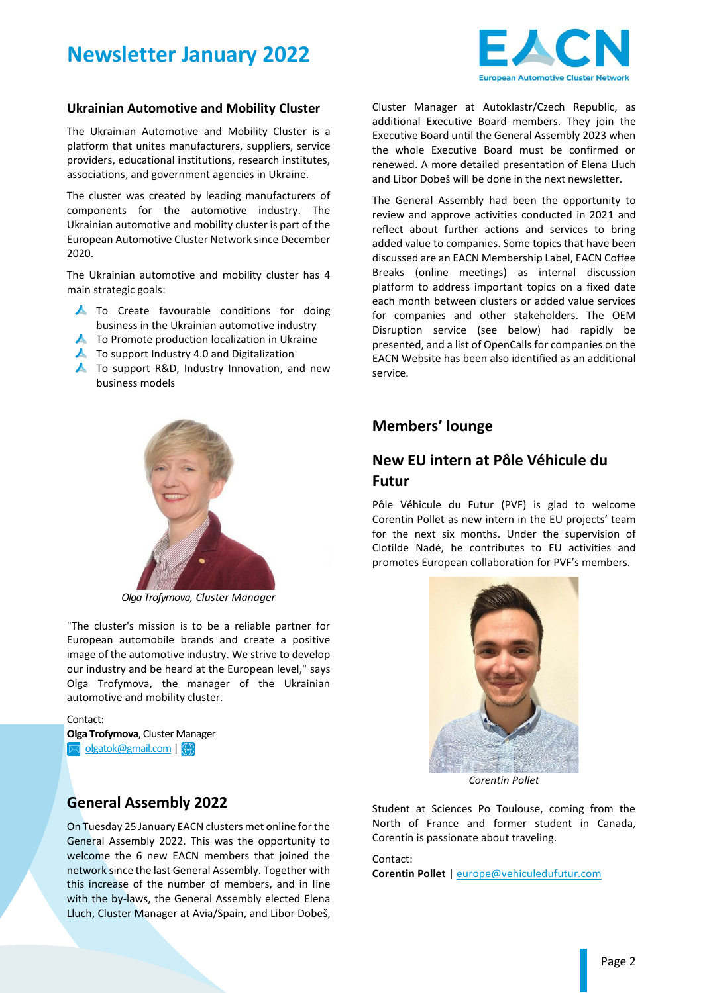



#### **Ukrainian Automotive and Mobility Cluster**

The Ukrainian Automotive and Mobility Cluster is a platform that unites manufacturers, suppliers, service providers, educational institutions, research institutes, associations, and government agencies in Ukraine.

The cluster was created by leading manufacturers of components for the automotive industry. The Ukrainian automotive and mobility cluster is part of the European Automotive Cluster Network since December 2020.

The Ukrainian automotive and mobility cluster has 4 main strategic goals:

- To Create favourable conditions for doing business in the Ukrainian automotive industry
- ▲ To Promote production localization in Ukraine
- $\blacktriangle$  To support Industry 4.0 and Digitalization
- ▲ To support R&D, Industry Innovation, and new business models



*Olga Trofymova, Cluster Manager*

"The cluster's mission is to be a reliable partner for European automobile brands and create a positive image of the automotive industry. We strive to develop our industry and be heard at the European level," says Olga Trofymova, the manager of the Ukrainian automotive and mobility cluster.

Contact: **Olga Trofymova**, Cluster Manager  $\boxed{\bowtie}$  olgatok@gmail.com  $\boxed{\color{red} \clubsuit}$ 

### **General Assembly 2022**

On Tuesday 25 January EACN clusters met online for the General Assembly 2022. This was the opportunity to welcome the 6 new EACN members that joined the network since the last General Assembly. Together with this increase of the number of members, and in line with the by-laws, the General Assembly elected Elena Lluch, Cluster Manager at Avia/Spain, and Libor Dobeš, Cluster Manager at Autoklastr/Czech Republic, as additional Executive Board members. They join the Executive Board until the General Assembly 2023 when the whole Executive Board must be confirmed or renewed. A more detailed presentation of Elena Lluch and Libor Dobeš will be done in the next newsletter.

The General Assembly had been the opportunity to review and approve activities conducted in 2021 and reflect about further actions and services to bring added value to companies. Some topics that have been discussed are an EACN Membership Label, EACN Coffee Breaks (online meetings) as internal discussion platform to address important topics on a fixed date each month between clusters or added value services for companies and other stakeholders. The OEM Disruption service (see below) had rapidly be presented, and a list of OpenCalls for companies on the EACN Website has been also identified as an additional service.

### **Members' lounge**

## **New EU intern at Pôle Véhicule du Futur**

Pôle Véhicule du Futur (PVF) is glad to welcome Corentin Pollet as new intern in the EU projects' team for the next six months. Under the supervision of Clotilde Nadé, he contributes to EU activities and promotes European collaboration for PVF's members.



*Corentin Pollet* 

Student at Sciences Po Toulouse, coming from the North of France and former student in Canada, Corentin is passionate about traveling.

Contact: **Corentin Pollet** | [europe@vehiculedufutur.com](mailto:europe@vehiculedufutur.com)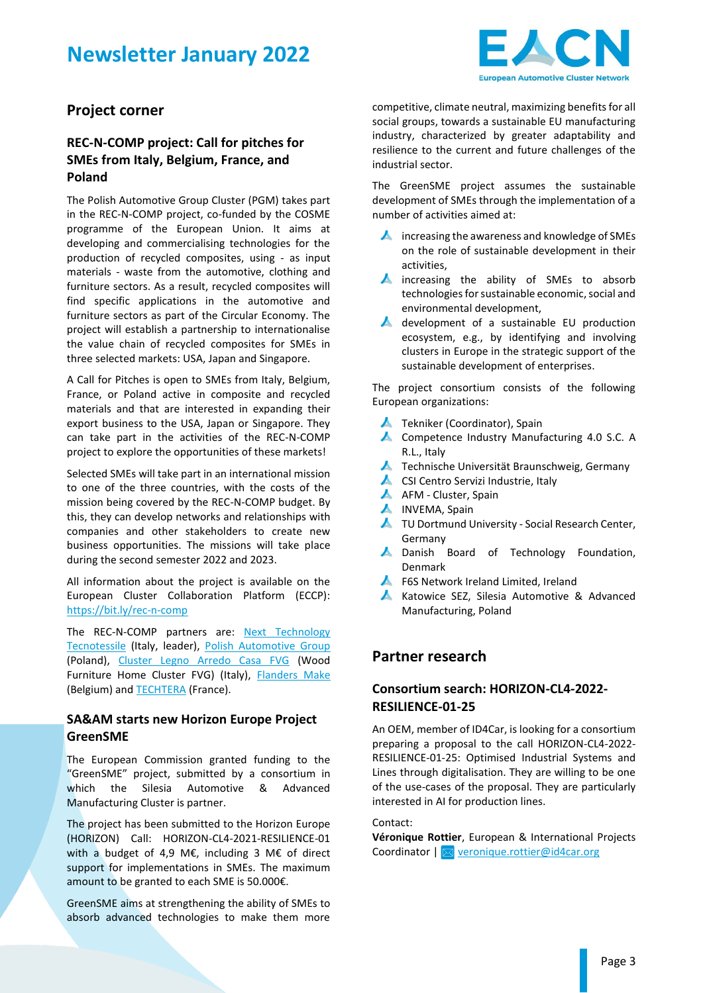# **Newsletter January 2022**



## **Project corner**

### **REC-N-COMP project: Call for pitches for SMEs from Italy, Belgium, France, and Poland**

The Polish Automotive Group Cluster (PGM) takes part in the REC-N-COMP project, co-funded by the COSME programme of the European Union. It aims at developing and commercialising technologies for the production of recycled composites, using - as input materials - waste from the automotive, clothing and furniture sectors. As a result, recycled composites will find specific applications in the automotive and furniture sectors as part of the Circular Economy. The project will establish a partnership to internationalise the value chain of recycled composites for SMEs in three selected markets: USA, Japan and Singapore.

A Call for Pitches is open to SMEs from Italy, Belgium, France, or Poland active in composite and recycled materials and that are interested in expanding their export business to the USA, Japan or Singapore. They can take part in the activities of the REC-N-COMP project to explore the opportunities of these markets!

Selected SMEs will take part in an international mission to one of the three countries, with the costs of the mission being covered by the REC-N-COMP budget. By this, they can develop networks and relationships with companies and other stakeholders to create new business opportunities. The missions will take place during the second semester 2022 and 2023.

All information about the project is available on the European Cluster Collaboration Platform (ECCP): <https://bit.ly/rec-n-comp>

The REC-N-COMP partners are: [Next Technology](https://www.linkedin.com/company/nexttechnologytecnotessile/)  [Tecnotessile](https://www.linkedin.com/company/nexttechnologytecnotessile/) (Italy, leader), [Polish Automotive Group](https://www.linkedin.com/company/polska-grupa-motoryzacyjna/) (Poland), [Cluster Legno Arredo Casa FVG](https://www.linkedin.com/company/clusterarredoesistemacasa/) (Wood Furniture Home Cluster FVG) (Italy), [Flanders Make](https://www.linkedin.com/company/flanders-make/) (Belgium) and **TECHTERA** (France).

#### **SA&AM starts new Horizon Europe Project GreenSME**

The European Commission granted funding to the "GreenSME" project, submitted by a consortium in which the Silesia Automotive & Advanced Manufacturing Cluster is partner.

The project has been submitted to the Horizon Europe (HORIZON) Call: HORIZON-CL4-2021-RESILIENCE-01 with a budget of 4,9 M€, including 3 M€ of direct support for implementations in SMEs. The maximum amount to be granted to each SME is 50.000€.

GreenSME aims at strengthening the ability of SMEs to absorb advanced technologies to make them more

competitive, climate neutral, maximizing benefits for all social groups, towards a sustainable EU manufacturing industry, characterized by greater adaptability and resilience to the current and future challenges of the industrial sector.

The GreenSME project assumes the sustainable development of SMEs through the implementation of a number of activities aimed at:

- **A** increasing the awareness and knowledge of SMEs on the role of sustainable development in their activities,
- **A** increasing the ability of SMEs to absorb technologies for sustainable economic, social and environmental development,
- development of a sustainable EU production ecosystem, e.g., by identifying and involving clusters in Europe in the strategic support of the sustainable development of enterprises.

The project consortium consists of the following European organizations:

- ▲ Tekniker (Coordinator), Spain
- ▲ Competence Industry Manufacturing 4.0 S.C. A R.L., Italy
- ▲ Technische Universität Braunschweig, Germany
- ▲ CSI Centro Servizi Industrie, Italy
- A AFM Cluster, Spain
- A INVEMA, Spain
- ▲ TU Dortmund University Social Research Center, Germany
- **A** Danish Board of Technology Foundation, Denmark
- F6S Network Ireland Limited, Ireland
- **A** Katowice SEZ, Silesia Automotive & Advanced Manufacturing, Poland

## **Partner research**

### **Consortium search: HORIZON-CL4-2022- RESILIENCE-01-25**

An OEM, member of ID4Car, is looking for a consortium preparing a proposal to the call HORIZON-CL4-2022- RESILIENCE-01-25: Optimised Industrial Systems and Lines through digitalisation. They are willing to be one of the use-cases of the proposal. They are particularly interested in AI for production lines.

Contact:

**Véronique Rottier**, European & International Projects Coordinator | **M** [veronique.rottier@id4car.org](mailto:veronique.rottier@id4car.org)